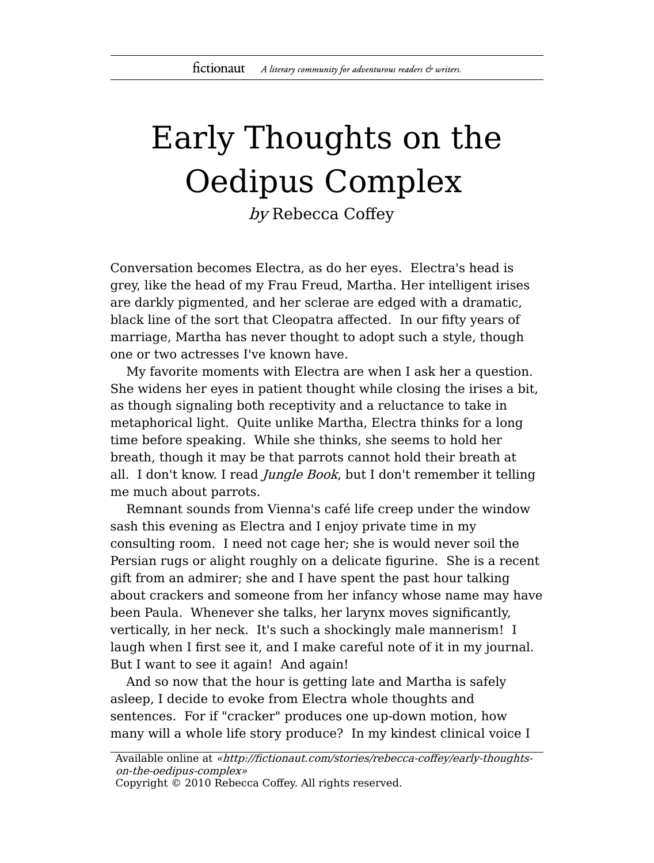## Early Thoughts on the Oedipus Complex

by Rebecca Coffey

Conversation becomes Electra, as do her eyes. Electra's head is grey, like the head of my Frau Freud, Martha. Her intelligent irises are darkly pigmented, and her sclerae are edged with a dramatic, black line of the sort that Cleopatra affected. In our fifty years of marriage, Martha has never thought to adopt such a style, though one or two actresses I've known have.

My favorite moments with Electra are when I ask her a question. She widens her eyes in patient thought while closing the irises a bit, as though signaling both receptivity and a reluctance to take in metaphorical light. Quite unlike Martha, Electra thinks for a long time before speaking. While she thinks, she seems to hold her breath, though it may be that parrots cannot hold their breath at all. I don't know. I read *Jungle Book*, but I don't remember it telling me much about parrots.

Remnant sounds from Vienna's café life creep under the window sash this evening as Electra and I enjoy private time in my consulting room. I need not cage her; she is would never soil the Persian rugs or alight roughly on a delicate figurine. She is a recent gift from an admirer; she and I have spent the past hour talking about crackers and someone from her infancy whose name may have been Paula. Whenever she talks, her larynx moves significantly, vertically, in her neck. It's such a shockingly male mannerism! I laugh when I first see it, and I make careful note of it in my journal. But I want to see it again! And again!

And so now that the hour is getting late and Martha is safely asleep, I decide to evoke from Electra whole thoughts and sentences. For if "cracker" produces one up-down motion, how many will a whole life story produce? In my kindest clinical voice I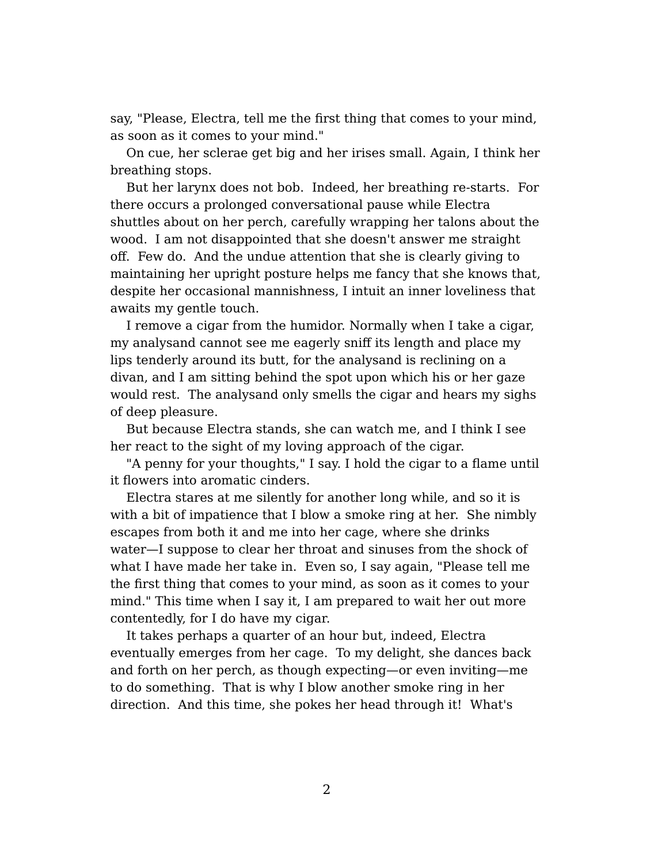say, "Please, Electra, tell me the first thing that comes to your mind, as soon as it comes to your mind."

On cue, her sclerae get big and her irises small. Again, I think her breathing stops.

But her larynx does not bob. Indeed, her breathing re-starts. For there occurs a prolonged conversational pause while Electra shuttles about on her perch, carefully wrapping her talons about the wood. I am not disappointed that she doesn't answer me straight off. Few do. And the undue attention that she is clearly giving to maintaining her upright posture helps me fancy that she knows that, despite her occasional mannishness, I intuit an inner loveliness that awaits my gentle touch.

I remove a cigar from the humidor. Normally when I take a cigar, my analysand cannot see me eagerly sniff its length and place my lips tenderly around its butt, for the analysand is reclining on a divan, and I am sitting behind the spot upon which his or her gaze would rest. The analysand only smells the cigar and hears my sighs of deep pleasure.

But because Electra stands, she can watch me, and I think I see her react to the sight of my loving approach of the cigar.

"A penny for your thoughts," I say. I hold the cigar to a flame until it flowers into aromatic cinders.

Electra stares at me silently for another long while, and so it is with a bit of impatience that I blow a smoke ring at her. She nimbly escapes from both it and me into her cage, where she drinks water—I suppose to clear her throat and sinuses from the shock of what I have made her take in. Even so, I say again, "Please tell me the first thing that comes to your mind, as soon as it comes to your mind." This time when I say it, I am prepared to wait her out more contentedly, for I do have my cigar.

It takes perhaps a quarter of an hour but, indeed, Electra eventually emerges from her cage. To my delight, she dances back and forth on her perch, as though expecting—or even inviting—me to do something. That is why I blow another smoke ring in her direction. And this time, she pokes her head through it! What's